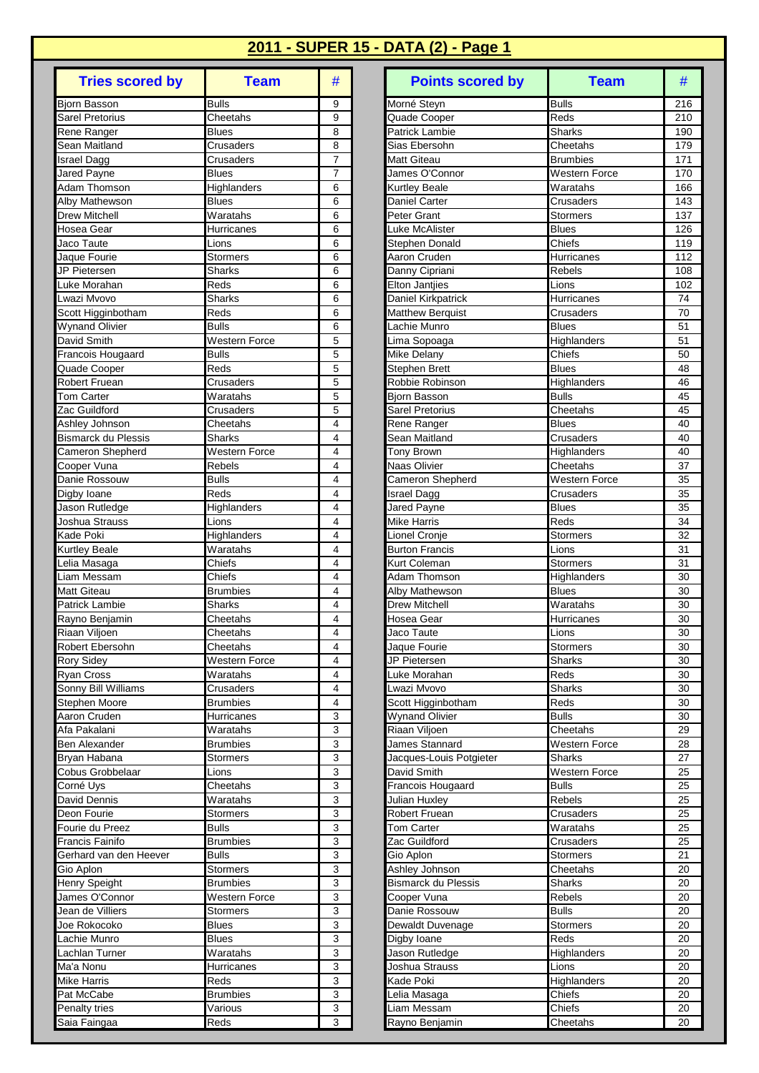| <b>Tries scored by</b>                 | <b>Team</b>                      | #                         |
|----------------------------------------|----------------------------------|---------------------------|
| <b>Bjorn Basson</b>                    | <b>Bulls</b>                     | 9                         |
| <b>Sarel Pretorius</b>                 | Cheetahs                         | 9                         |
| Rene Ranger                            | Blues                            | 8                         |
| Sean Maitland<br><b>Israel Dagg</b>    | Crusaders<br>Crusaders           | 8<br>7                    |
| Jared Payne                            | <b>Blues</b>                     | 7                         |
| <b>Adam Thomson</b>                    | Highlanders                      | 6                         |
| Alby Mathewson                         | <b>Blues</b>                     | 6                         |
| <b>Drew Mitchell</b>                   | Waratahs                         | 6                         |
| Hosea Gear                             | Hurricanes                       | 6                         |
| Jaco Taute                             | Lions                            | 6                         |
| Jaque Fourie                           | <b>Stormers</b><br><b>Sharks</b> | 6                         |
| <b>JP Pietersen</b><br>Luke Morahan    | Reds                             | 6<br>6                    |
| Lwazi Mvovo                            | Sharks                           | 6                         |
| Scott Higginbotham                     | Reds                             | 6                         |
| <b>Wynand Olivier</b>                  | <b>Bulls</b>                     | 6                         |
| David Smith                            | <b>Western Force</b>             | 5                         |
| Francois Hougaard                      | <b>Bulls</b>                     | 5                         |
| Quade Cooper                           | Reds                             | 5                         |
| Robert Fruean                          | Crusaders                        | 5<br>5                    |
| <b>Tom Carter</b><br>Zac Guildford     | Waratahs<br>Crusaders            | 5                         |
| <b>Ashley Johnson</b>                  | Cheetahs                         | 4                         |
| <b>Bismarck du Plessis</b>             | Sharks                           | 4                         |
| Cameron Shepherd                       | <b>Western Force</b>             | 4                         |
| Cooper Vuna                            | Rebels                           | 4                         |
| Danie Rossouw                          | <b>Bulls</b>                     | 4                         |
| Digby Ioane                            | Reds                             | 4                         |
| Jason Rutledge                         | Highlanders                      | 4                         |
| Joshua Strauss<br><b>Kade Poki</b>     | Lions                            | 4<br>4                    |
| <b>Kurtley Beale</b>                   | Highlanders<br>Waratahs          | 4                         |
| Lelia Masaga                           | Chiefs                           | 4                         |
| Liam Messam                            | Chiefs                           | 4                         |
| <b>Matt Giteau</b>                     | <b>Brumbies</b>                  | 4                         |
| <b>Patrick Lambie</b>                  | Sharks                           | 4                         |
| Rayno Benjamin                         | Cheetahs                         | 4                         |
| Riaan Viljoen                          | Cheetahs                         | $\overline{4}$            |
| Robert Ebersohn                        | Cheetahs                         | 4                         |
| <b>Rory Sidey</b><br><b>Ryan Cross</b> | <b>Western Force</b><br>Waratahs | 4<br>4                    |
| Sonny Bill Williams                    | Crusaders                        | 4                         |
| Stephen Moore                          | <b>Brumbies</b>                  | 4                         |
| Aaron Cruden                           | Hurricanes                       | 3                         |
| Afa Pakalani                           | Waratahs                         | 3                         |
| <b>Ben Alexander</b>                   | <b>Brumbies</b>                  | 3                         |
| Bryan Habana                           | Stormers                         | 3                         |
| <b>Cobus Grobbelaar</b>                | Lions                            | 3                         |
| Corné Uys<br>David Dennis              | Cheetahs<br>Waratahs             | 3<br>3                    |
| Deon Fourie                            | Stormers                         | 3                         |
| Fourie du Preez                        | <b>Bulls</b>                     | 3                         |
| <b>Francis Fainifo</b>                 | <b>Brumbies</b>                  | 3                         |
| Gerhard van den Heever                 | <b>Bulls</b>                     | 3                         |
| Gio Aplon                              | <b>Stormers</b>                  | $\overline{3}$            |
| Henry Speight                          | <b>Brumbies</b>                  | 3                         |
| James O'Connor                         | Western Force                    | 3                         |
| Jean de Villiers                       | Stormers                         | 3                         |
| Joe Rokocoko<br>Lachie Munro           | Blues<br><b>Blues</b>            | 3<br>3                    |
| Lachlan Turner                         | Waratahs                         | 3                         |
| Ma'a Nonu                              | Hurricanes                       | 3                         |
| <b>Mike Harris</b>                     | Reds                             | 3                         |
| Pat McCabe                             | <b>Brumbies</b>                  | 3                         |
| Penalty tries                          | Various                          | 3                         |
| Saia Faingaa                           | Reds                             | $\overline{\overline{3}}$ |

| <b>Tries scored by</b>               | <b>Team</b>               | #                                | <b>Points scored by</b>                | <b>Team</b>              | #               |
|--------------------------------------|---------------------------|----------------------------------|----------------------------------------|--------------------------|-----------------|
| <b>Bjorn Basson</b>                  | <b>Bulls</b>              | 9                                | Morné Steyn                            | <b>Bulls</b>             | 216             |
| <b>Sarel Pretorius</b>               | Cheetahs                  | 9                                | Quade Cooper                           | Reds                     | 210             |
| Rene Ranger                          | Blues                     | 8                                | <b>Patrick Lambie</b>                  | Sharks                   | 190             |
| Sean Maitland                        | Crusaders                 | 8                                | Sias Ebersohn                          | Cheetahs                 | 179             |
| <b>Israel Dagg</b>                   | Crusaders                 | $\overline{7}$                   | <b>Matt Giteau</b>                     | <b>Brumbies</b>          | 171             |
| Jared Payne                          | Blues                     | $\overline{7}$                   | James O'Connor                         | Western Force            | 170             |
| Adam Thomson                         | Highlanders               | 6                                | <b>Kurtley Beale</b>                   | Waratahs                 | 166             |
| Alby Mathewson                       | Blues                     | 6                                | Daniel Carter                          | Crusaders                | 143             |
| <b>Drew Mitchell</b>                 | Waratahs                  | 6                                | Peter Grant                            | <b>Stormers</b>          | 137             |
| Hosea Gear                           | Hurricanes                | 6                                | Luke McAlister                         | <b>Blues</b>             | 126             |
| Jaco Taute<br>Jaque Fourie           | Lions                     | 6<br>6                           | Stephen Donald<br>Aaron Cruden         | Chiefs                   | 119             |
| JP Pietersen                         | Stormers<br><b>Sharks</b> | 6                                | Danny Cipriani                         | Hurricanes<br>Rebels     | 112<br>108      |
| Luke Morahan                         | Reds                      | 6                                | <b>Elton Jantjies</b>                  | Lions                    | 102             |
| Lwazi Mvovo                          | Sharks                    | 6                                | Daniel Kirkpatrick                     | Hurricanes               | 74              |
| Scott Higginbotham                   | Reds                      | 6                                | <b>Matthew Berquist</b>                | Crusaders                | 70              |
| <b>Wynand Olivier</b>                | <b>Bulls</b>              | 6                                | Lachie Munro                           | <b>Blues</b>             | 51              |
| David Smith                          | <b>Western Force</b>      | 5                                | Lima Sopoaga                           | Highlanders              | 51              |
| Francois Hougaard                    | <b>Bulls</b>              | 5                                | Mike Delany                            | Chiefs                   | 50              |
| Quade Cooper                         | Reds                      | 5                                | <b>Stephen Brett</b>                   | <b>Blues</b>             | 48              |
| <b>Robert Fruean</b>                 | Crusaders                 | 5                                | Robbie Robinson                        | Highlanders              | 46              |
| Tom Carter                           | Waratahs                  | 5                                | Bjorn Basson                           | <b>Bulls</b>             | 45              |
| Zac Guildford                        | Crusaders                 | 5                                | Sarel Pretorius                        | Cheetahs                 | 45              |
| Ashley Johnson                       | Cheetahs                  | $\overline{4}$                   | Rene Ranger                            | <b>Blues</b>             | 40              |
| <b>Bismarck du Plessis</b>           | Sharks                    | 4                                | Sean Maitland                          | Crusaders                | 40              |
| Cameron Shepherd                     | <b>Western Force</b>      | 4                                | <b>Tony Brown</b>                      | Highlanders              | 40              |
| Cooper Vuna                          | Rebels                    | 4                                | Naas Olivier                           | Cheetahs                 | 37              |
| Danie Rossouw                        | <b>Bulls</b>              | $\overline{4}$                   | Cameron Shepherd                       | <b>Western Force</b>     | 35              |
| Digby Ioane                          | Reds                      | $\overline{4}$                   | <b>Israel Dagg</b>                     | Crusaders                | 35              |
| Jason Rutledge                       | Highlanders               | 4                                | Jared Payne                            | <b>Blues</b>             | 35              |
| Joshua Strauss                       | Lions                     | $\overline{4}$                   | <b>Mike Harris</b>                     | Reds                     | 34              |
| Kade Poki                            | Highlanders               | $\overline{4}$                   | Lionel Cronje                          | <b>Stormers</b>          | 32              |
| <b>Kurtley Beale</b>                 | Waratahs                  | 4                                | <b>Burton Francis</b>                  | Lions                    | 31              |
| Lelia Masaga                         | Chiefs                    | 4                                | Kurt Coleman                           | Stormers                 | 31              |
| Liam Messam                          | Chiefs                    | 4                                | Adam Thomson                           | Highlanders              | 30              |
| Matt Giteau<br><b>Patrick Lambie</b> | <b>Brumbies</b><br>Sharks | $\overline{4}$<br>$\overline{4}$ | Alby Mathewson<br><b>Drew Mitchell</b> | <b>Blues</b><br>Waratahs | 30<br>30        |
| Rayno Benjamin                       | Cheetahs                  | $\overline{4}$                   | Hosea Gear                             | Hurricanes               | 30              |
| Riaan Viljoen                        | Cheetahs                  | $\overline{4}$                   | Jaco Taute                             | Lions                    | 30              |
| Robert Ebersohn                      | Cheetahs                  | 4                                | Jaque Fourie                           | Stormers                 | $\overline{30}$ |
| Rory Sidey                           | Western Force             | 4                                | JP Pietersen                           | Sharks                   | 30              |
| Ryan Cross                           | Waratahs                  | 4                                | Luke Morahan                           | Reds                     | 30              |
| Sonny Bill Williams                  | Crusaders                 | 4                                | Lwazi Mvovo                            | <b>Sharks</b>            | 30              |
| Stephen Moore                        | Brumbies                  | 4                                | Scott Higginbotham                     | Reds                     | 30              |
| Aaron Cruden                         | Hurricanes                | 3                                | <b>Wynand Olivier</b>                  | <b>Bulls</b>             | 30              |
| Afa Pakalani                         | Waratahs                  | 3                                | Riaan Viljoen                          | Cheetahs                 | 29              |
| Ben Alexander                        | Brumbies                  | 3                                | James Stannard                         | Western Force            | 28              |
| Bryan Habana                         | Stormers                  | 3                                | Jacques-Louis Potgieter                | Sharks                   | 27              |
| Cobus Grobbelaar                     | Lions                     | 3                                | David Smith                            | Western Force            | 25              |
| Corné Uys                            | Cheetahs                  | 3                                | Francois Hougaard                      | <b>Bulls</b>             | 25              |
| David Dennis                         | Waratahs                  | 3                                | <b>Julian Huxley</b>                   | <b>Rebels</b>            | 25              |
| Deon Fourie                          | Stormers                  | 3                                | <b>Robert Fruean</b>                   | Crusaders                | 25              |
| Fourie du Preez                      | <b>Bulls</b>              | 3                                | Tom Carter                             | Waratahs                 | 25              |
| Francis Fainifo                      | <b>Brumbies</b>           | 3                                | Zac Guildford                          | Crusaders                | 25              |
| Gerhard van den Heever               | Bulls                     | 3                                | Gio Aplon                              | <b>Stormers</b>          | 21              |
| Gio Aplon                            | Stormers                  | 3                                | Ashley Johnson                         | Cheetahs                 | 20              |
| Henry Speight                        | Brumbies                  | 3                                | <b>Bismarck du Plessis</b>             | Sharks                   | 20              |
| James O'Connor                       | Western Force             | 3                                | Cooper Vuna                            | Rebels                   | 20              |
| Jean de Villiers                     | Stormers                  | 3                                | Danie Rossouw                          | <b>Bulls</b>             | 20              |
| Joe Rokocoko<br>Lachie Munro         | <b>Blues</b>              | 3                                | Dewaldt Duvenage                       | <b>Stormers</b>          | 20              |
| Lachlan Turner                       | Blues<br>Waratahs         | 3<br>3                           | Digby Ioane<br>Jason Rutledge          | Reds                     | 20<br>20        |
| Ma'a Nonu                            | Hurricanes                | 3                                | Joshua Strauss                         | Highlanders<br>Lions     | 20              |
| Mike Harris                          | Reds                      | 3                                | Kade Poki                              | Highlanders              | 20              |
| Pat McCabe                           | Brumbies                  | 3                                | Lelia Masaga                           | Chiefs                   | 20              |
| Penalty tries                        | Various                   | 3                                | Liam Messam                            | Chiefs                   | 20              |
| Saia Faingaa                         | Reds                      | 3                                | Rayno Benjamin                         | Cheetahs                 | 20              |
|                                      |                           |                                  |                                        |                          |                 |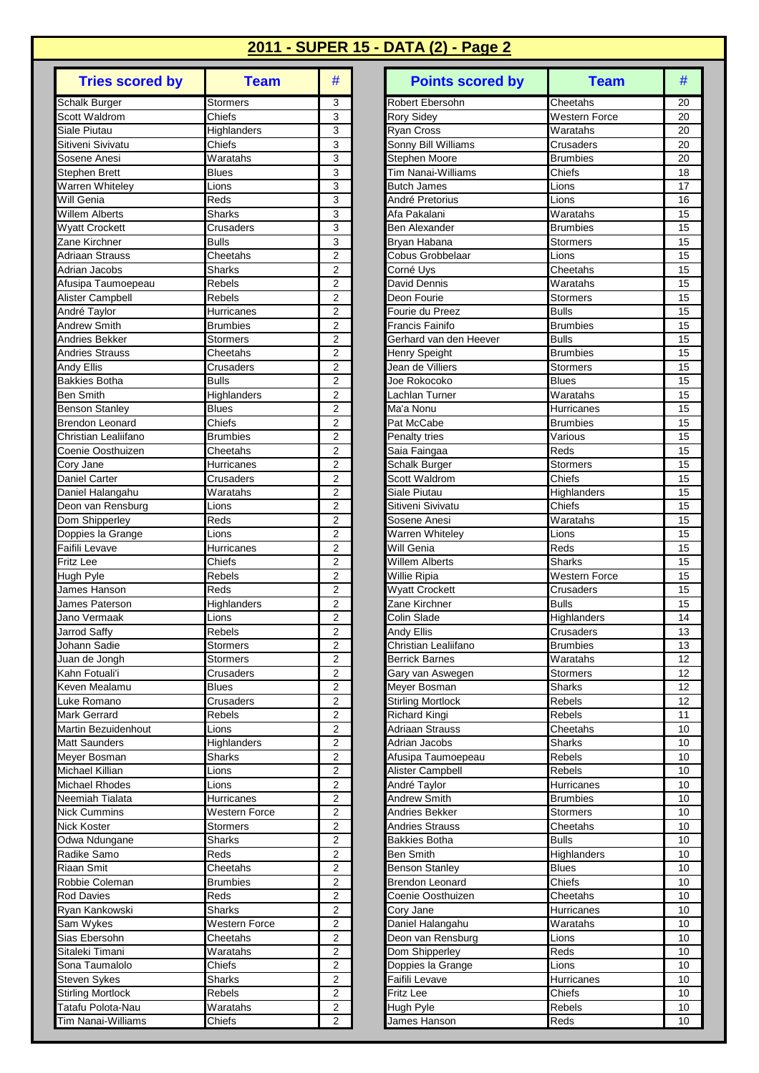| <b>Tries scored by</b>          | <b>Team</b>                 | #                       |
|---------------------------------|-----------------------------|-------------------------|
| Schalk Burger                   | Stormers                    | 3                       |
| <b>Scott Waldrom</b>            | Chiefs                      | 3                       |
| Siale Piutau                    | Highlanders                 | 3                       |
| Sitiveni Sivivatu               | Chiefs                      | 3                       |
| Sosene Anesi                    | Waratahs                    | 3                       |
| <b>Stephen Brett</b>            | Blues                       | 3                       |
| Warren Whiteley<br>Will Genia   | Lions                       | 3                       |
| Willem Alberts                  | Reds<br><b>Sharks</b>       | 3<br>3                  |
| <b>Wyatt Crockett</b>           | Crusaders                   | 3                       |
| Zane Kirchner                   | <b>Bulls</b>                | 3                       |
| Adriaan Strauss                 | Cheetahs                    | $\overline{2}$          |
| Adrian Jacobs                   | <b>Sharks</b>               | $\overline{2}$          |
| Afusipa Taumoepeau              | Rebels                      | 2                       |
| Alister Campbell                | Rebels                      | 2                       |
| André Taylor                    | Hurricanes                  | $\overline{2}$          |
| <b>Andrew Smith</b>             | Brumbies                    | $\overline{2}$          |
| Andries Bekker                  | Stormers                    | 2                       |
| <b>Andries Strauss</b>          | Cheetahs                    | $\overline{2}$          |
| <b>Andy Ellis</b>               | Crusaders                   | $\overline{2}$          |
| <b>Bakkies Botha</b>            | <b>Bulls</b>                | $\overline{2}$          |
| <b>Ben Smith</b>                | Highlanders                 | 2                       |
| Benson Stanley                  | <b>Blues</b>                | 2                       |
| <b>Brendon Leonard</b>          | Chiefs                      | 2                       |
| Christian Lealiifano            | <b>Brumbies</b><br>Cheetahs | 2<br>$\overline{2}$     |
| Coenie Oosthuizen<br>Cory Jane  | Hurricanes                  | $\overline{2}$          |
| Daniel Carter                   | Crusaders                   | $\overline{2}$          |
| Daniel Halangahu                | Waratahs                    | $\overline{2}$          |
| Deon van Rensburg               | Lions                       | 2                       |
| Dom Shipperley                  | Reds                        | $\overline{2}$          |
| Doppies la Grange               | Lions                       | 2                       |
| Faifili Levave                  | Hurricanes                  | $\overline{2}$          |
| Fritz Lee                       | Chiefs                      | 2                       |
| Hugh Pyle                       | <b>Rebels</b>               | 2                       |
| James Hanson                    | Reds                        | 2                       |
| James Paterson                  | Highlanders                 | $\overline{2}$          |
| Jano Vermaak                    | Lions                       | $\overline{2}$          |
| Jarrod Saffy                    | Rebels                      | 2                       |
| Johann Sadie                    | Stormers                    | 2                       |
| Juan de Jongh                   | Stormers                    | 2                       |
| Kahn Fotuali'i<br>Keven Mealamu | Crusaders                   | 2<br>2                  |
| Luke Romano                     | <b>Blues</b><br>Crusaders   | $\overline{2}$          |
| Mark Gerrard                    | Rebels                      | 2                       |
| Martin Bezuidenhout             | Lions                       | $\overline{2}$          |
| Matt Saunders                   | Highlanders                 | 2                       |
| Meyer Bosman                    | Sharks                      | 2                       |
| Michael Killian                 | Lions                       | $\overline{2}$          |
| <b>Michael Rhodes</b>           | Lions                       | 2                       |
| Neemiah Tialata                 | Hurricanes                  | 2                       |
| Nick Cummins                    | <b>Western Force</b>        | 2                       |
| Nick Koster                     | Stormers                    | 2                       |
| Odwa Ndungane                   | Sharks                      | $\overline{c}$          |
| Radike Samo                     | Reds                        | 2                       |
| Riaan Smit                      | Cheetahs                    | 2                       |
| Robbie Coleman                  | <b>Brumbies</b>             | 2                       |
| <b>Rod Davies</b>               | Reds                        | 2                       |
| Ryan Kankowski                  | Sharks<br>Western Force     | 2<br>2                  |
| Sam Wykes<br>Sias Ebersohn      |                             | 2                       |
| Sitaleki Timani                 | Cheetahs<br>Waratahs        | 2                       |
| Sona Taumalolo                  | Chiefs                      | 2                       |
| Steven Sykes                    | Sharks                      | 2                       |
| <b>Stirling Mortlock</b>        | Rebels                      | $\overline{2}$          |
| Tatafu Polota-Nau               | Waratahs                    | $\overline{\mathbf{c}}$ |
| <b>Tim Nanai-Williams</b>       | Chiefs                      | $\overline{2}$          |

| <b>Tries scored by</b>                      | <b>Team</b>              | #                                | <b>Points scored by</b>                    | <b>Team</b>                     | #        |
|---------------------------------------------|--------------------------|----------------------------------|--------------------------------------------|---------------------------------|----------|
| <b>Schalk Burger</b>                        | Stormers                 | 3                                | Robert Ebersohn                            | Cheetahs                        | 20       |
| <b>Scott Waldrom</b>                        | Chiefs                   | 3                                | <b>Rory Sidey</b>                          | <b>Western Force</b>            | 20       |
| Siale Piutau                                | Highlanders              | 3                                | <b>Ryan Cross</b>                          | Waratahs                        | 20       |
| Sitiveni Sivivatu<br>Sosene Anesi           | Chiefs                   | 3                                | Sonny Bill Williams                        | Crusaders                       | 20       |
| Stephen Brett                               | Waratahs<br><b>Blues</b> | 3<br>3                           | <b>Stephen Moore</b><br>Tim Nanai-Williams | <b>Brumbies</b><br>Chiefs       | 20<br>18 |
| Warren Whiteley                             | Lions                    | 3                                | Butch James                                | Lions                           | 17       |
| Will Genia                                  | Reds                     | 3                                | André Pretorius                            | Lions                           | 16       |
| <b>Willem Alberts</b>                       | <b>Sharks</b>            | 3                                | Afa Pakalani                               | Waratahs                        | 15       |
| <b>Wyatt Crockett</b>                       | Crusaders                | 3                                | <b>Ben Alexander</b>                       | <b>Brumbies</b>                 | 15       |
| Zane Kirchner                               | <b>Bulls</b>             | 3                                | Bryan Habana                               | <b>Stormers</b>                 | 15       |
| Adriaan Strauss                             | Cheetahs                 | $\overline{2}$                   | Cobus Grobbelaar                           | Lions                           | 15       |
| Adrian Jacobs                               | <b>Sharks</b>            | $\overline{2}$                   | Corné Uys                                  | Cheetahs                        | 15       |
| Afusipa Taumoepeau                          | <b>Rebels</b>            | $\overline{2}$                   | David Dennis                               | Waratahs                        | 15       |
| Alister Campbell<br>André Taylor            | Rebels<br>Hurricanes     | $\overline{2}$<br>$\overline{2}$ | Deon Fourie<br>Fourie du Preez             | <b>Stormers</b><br><b>Bulls</b> | 15<br>15 |
| <b>Andrew Smith</b>                         | <b>Brumbies</b>          | 2                                | Francis Fainifo                            | <b>Brumbies</b>                 | 15       |
| Andries Bekker                              | Stormers                 | $\overline{2}$                   | Gerhard van den Heever                     | <b>Bulls</b>                    | 15       |
| <b>Andries Strauss</b>                      | Cheetahs                 | $\overline{2}$                   | Henry Speight                              | <b>Brumbies</b>                 | 15       |
| Andy Ellis                                  | Crusaders                | $\overline{2}$                   | Jean de Villiers                           | <b>Stormers</b>                 | 15       |
| <b>Bakkies Botha</b>                        | <b>Bulls</b>             | $\overline{2}$                   | Joe Rokocoko                               | <b>Blues</b>                    | 15       |
| <b>Ben Smith</b>                            | Highlanders              | 2                                | Lachlan Turner                             | Waratahs                        | 15       |
| <b>Benson Stanley</b>                       | Blues                    | $\overline{2}$                   | Ma'a Nonu                                  | Hurricanes                      | 15       |
| <b>Brendon Leonard</b>                      | Chiefs                   | $\overline{2}$                   | Pat McCabe                                 | <b>Brumbies</b>                 | 15       |
| Christian Lealiifano                        | <b>Brumbies</b>          | $\overline{c}$                   | Penalty tries                              | Various                         | 15       |
| Coenie Oosthuizen<br>Cory Jane              | Cheetahs<br>Hurricanes   | $\overline{2}$<br>$\overline{2}$ | Saia Faingaa<br><b>Schalk Burger</b>       | Reds<br><b>Stormers</b>         | 15<br>15 |
| Daniel Carter                               | Crusaders                | $\overline{2}$                   | <b>Scott Waldrom</b>                       | Chiefs                          | 15       |
| Daniel Halangahu                            | Waratahs                 | $\overline{2}$                   | Siale Piutau                               | Highlanders                     | 15       |
| Deon van Rensburg                           | Lions                    | $\overline{2}$                   | Sitiveni Sivivatu                          | Chiefs                          | 15       |
| Dom Shipperley                              | Reds                     | $\overline{2}$                   | Sosene Anesi                               | Waratahs                        | 15       |
| Doppies la Grange                           | Lions                    | $\overline{2}$                   | <b>Warren Whiteley</b>                     | Lions                           | 15       |
| Faifili Levave                              | Hurricanes               | $\overline{2}$                   | Will Genia                                 | Reds                            | 15       |
| Fritz Lee                                   | Chiefs                   | 2                                | Willem Alberts                             | <b>Sharks</b>                   | 15       |
| Hugh Pyle                                   | Rebels                   | $\overline{2}$                   | <b>Willie Ripia</b>                        | <b>Western Force</b>            | 15       |
| James Hanson<br>James Paterson              | Reds<br>Highlanders      | $\overline{2}$<br>$\overline{2}$ | <b>Wyatt Crockett</b><br>Zane Kirchner     | Crusaders<br><b>Bulls</b>       | 15<br>15 |
| Jano Vermaak                                | Lions                    | $\overline{2}$                   | Colin Slade                                | Highlanders                     | 14       |
| Jarrod Saffy                                | <b>Rebels</b>            | $\overline{2}$                   | <b>Andy Ellis</b>                          | Crusaders                       | 13       |
| Johann Sadie                                | Stormers                 | 2                                | Christian Lealiifano                       | <b>Brumbies</b>                 | 13       |
| Juan de Jongh                               | Stormers                 | $\overline{2}$                   | Berrick Barnes                             | Waratahs                        | 12       |
| Kahn Fotuali'i                              | Crusaders                | $\overline{2}$                   | Gary van Aswegen                           | <b>Stormers</b>                 | 12       |
| Keven Mealamu                               | <b>Blues</b>             | 2                                | Meyer Bosman                               | Sharks                          | 12       |
| Luke Romano                                 | Crusaders                | 2                                | <b>Stirling Mortlock</b>                   | Rebels                          | 12       |
| Mark Gerrard                                | Rebels                   | 2                                | <b>Richard Kingi</b>                       | <b>Rebels</b>                   | 11       |
| Martin Bezuidenhout<br><b>Matt Saunders</b> | Lions<br>Highlanders     | 2<br>2                           | <b>Adriaan Strauss</b><br>Adrian Jacobs    | Cheetahs<br>Sharks              | 10<br>10 |
| Meyer Bosman                                | Sharks                   | $\overline{2}$                   | Afusipa Taumoepeau                         | Rebels                          | 10       |
| Michael Killian                             | Lions                    | $\overline{2}$                   | Alister Campbell                           | Rebels                          | 10       |
| Michael Rhodes                              | Lions                    | 2                                | André Taylor                               | Hurricanes                      | 10       |
| Neemiah Tialata                             | Hurricanes               | 2                                | Andrew Smith                               | <b>Brumbies</b>                 | 10       |
| Nick Cummins                                | Western Force            | $\overline{2}$                   | Andries Bekker                             | Stormers                        | 10       |
| Nick Koster                                 | Stormers                 | $\overline{2}$                   | <b>Andries Strauss</b>                     | Cheetahs                        | 10       |
| Odwa Ndungane                               | <b>Sharks</b>            | $\overline{2}$                   | <b>Bakkies Botha</b>                       | <b>Bulls</b>                    | 10       |
| Radike Samo                                 | Reds                     | 2                                | <b>Ben Smith</b>                           | Highlanders                     | 10       |
| Riaan Smit<br>Robbie Coleman                | Cheetahs<br>Brumbies     | 2<br>$\overline{\mathbf{c}}$     | <b>Benson Stanley</b><br>Brendon Leonard   | <b>Blues</b><br>Chiefs          | 10<br>10 |
| <b>Rod Davies</b>                           | Reds                     | $\overline{2}$                   | Coenie Oosthuizen                          | Cheetahs                        | 10       |
| Ryan Kankowski                              | <b>Sharks</b>            | 2                                | Cory Jane                                  | Hurricanes                      | 10       |
| Sam Wykes                                   | <b>Western Force</b>     | $\overline{2}$                   | Daniel Halangahu                           | Waratahs                        | 10       |
| Sias Ebersohn                               | Cheetahs                 | 2                                | Deon van Rensburg                          | Lions                           | 10       |
| Sitaleki Timani                             | Waratahs                 | 2                                | Dom Shipperley                             | Reds                            | 10       |
| Sona Taumalolo                              | Chiefs                   | $\overline{2}$                   | Doppies la Grange                          | Lions                           | 10       |
| Steven Sykes                                | <b>Sharks</b>            | $\overline{c}$                   | Faifili Levave                             | Hurricanes                      | 10       |
| <b>Stirling Mortlock</b>                    | Rebels                   | $\overline{2}$                   | <b>Fritz Lee</b>                           | Chiefs                          | 10       |
| Tatafu Polota-Nau<br>Tim Nanai-Williams     | Waratahs<br>Chiefs       | 2<br>$\overline{2}$              | Hugh Pyle<br>James Hanson                  | Rebels<br>Reds                  | 10<br>10 |
|                                             |                          |                                  |                                            |                                 |          |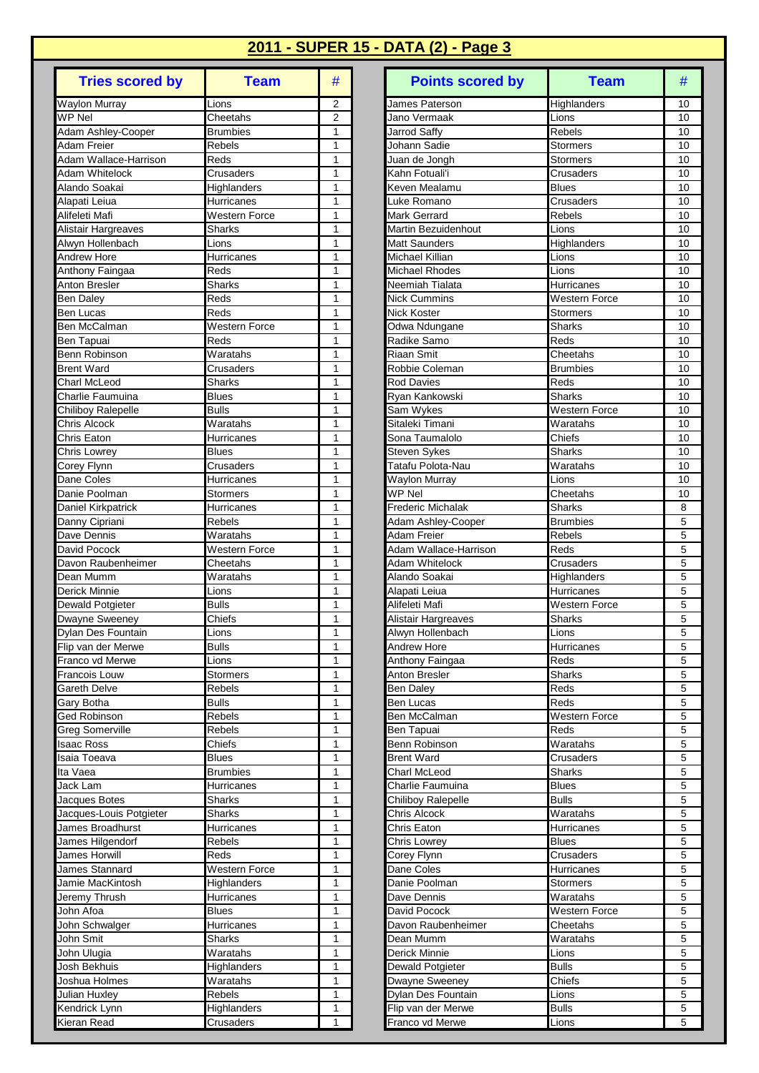| <b>Tries scored by</b>             | <b>Team</b>              | #      |
|------------------------------------|--------------------------|--------|
| Waylon Murray                      | Lions                    | 2      |
| WP Nel                             | Cheetahs                 | 2      |
| Adam Ashley-Cooper                 | <b>Brumbies</b>          | 1      |
| Adam Freier                        | Rebels                   | 1      |
| Adam Wallace-Harrison              | Reds                     | 1      |
| Adam Whitelock<br>Alando Soakai    | Crusaders<br>Highlanders | 1<br>1 |
| Alapati Leiua                      | <b>Hurricanes</b>        | 1      |
| Alifeleti Mafi                     | <b>Western Force</b>     | 1      |
| Alistair Hargreaves                | Sharks                   | 1      |
| Alwyn Hollenbach                   | Lions                    | 1      |
| Andrew Hore                        | Hurricanes               | 1      |
| Anthony Faingaa                    | Reds                     | 1      |
| Anton Bresler                      | <b>Sharks</b>            | 1      |
| Ben Dalev                          | Reds                     | 1      |
| Ben Lucas                          | Reds                     | 1      |
| <b>Ben McCalman</b>                | <b>Western Force</b>     | 1      |
| <b>Ben Tapuai</b><br>Benn Robinson | Reds                     | 1      |
| <b>Brent Ward</b>                  | Waratahs<br>Crusaders    | 1<br>1 |
| Charl McLeod                       | Sharks                   | 1      |
| Charlie Faumuina                   | <b>Blues</b>             | 1      |
| Chiliboy Ralepelle                 | <b>Bulls</b>             | 1      |
| <b>Chris Alcock</b>                | Waratahs                 | 1      |
| Chris Eaton                        | <b>Hurricanes</b>        | 1      |
| Chris Lowrey                       | <b>Blues</b>             | 1      |
| Corey Flynn                        | Crusaders                | 1      |
| Dane Coles                         | Hurricanes               | 1      |
| Danie Poolman                      | Stormers                 | 1      |
| Daniel Kirkpatrick                 | Hurricanes               | 1      |
| Danny Cipriani                     | <b>Rebels</b>            | 1      |
| Dave Dennis                        | Waratahs                 | 1      |
| David Pocock<br>Davon Raubenheimer | Western Force            | 1      |
| Dean Mumm                          | Cheetahs<br>Waratahs     | 1<br>1 |
| Derick Minnie                      | Lions                    | 1      |
| Dewald Potgieter                   | <b>Bulls</b>             | 1      |
| Dwayne Sweeney                     | Chiefs                   | 1      |
| Dylan Des Fountain                 | Lions                    | 1      |
| Flip van der Merwe                 | Bulls                    | 1      |
| Franco vd Merwe                    | Lions                    | 1      |
| <b>Francois Louw</b>               | <b>Stormers</b>          | 1      |
| Gareth Delve                       | Rebels                   | 1      |
| Gary Botha                         | <b>Bulls</b>             | 1      |
| Ged Robinson                       | <b>Rebels</b>            | 1      |
| Greg Somerville                    | Rebels                   | 1      |
| <b>Isaac Ross</b><br>Isaia Toeava  | Chiefs<br><b>Blues</b>   | 1<br>1 |
| Ita Vaea                           | <b>Brumbies</b>          | 1      |
| Jack Lam                           | Hurricanes               | 1      |
| Jacques Botes                      | Sharks                   | 1      |
| Jacques-Louis Potgieter            | Sharks                   | 1      |
| James Broadhurst                   | Hurricanes               | 1      |
| James Hilgendorf                   | Rebels                   | 1      |
| James Horwill                      | Reds                     | 1      |
| James Stannard                     | <b>Western Force</b>     | 1      |
| Jamie MacKintosh                   | Highlanders              | 1      |
| Jeremy Thrush                      | Hurricanes               | 1      |
| John Afoa                          | <b>Blues</b>             | 1      |
| John Schwalger                     | Hurricanes               | 1      |
| John Smit                          | Sharks                   | 1      |
| John Ulugia<br>Josh Bekhuis        | Waratahs                 | 1<br>1 |
| Joshua Holmes                      | Highlanders<br>Waratahs  | 1      |
| Julian Huxley                      | Rebels                   | 1      |
| Kendrick Lynn                      | Highlanders              | 1      |
| Kieran Read                        | Crusaders                | 1      |

| <b>Tries scored by</b>                 | <b>Team</b>               | #              | <b>Points scored by</b>                        | <b>Team</b>               | #              |
|----------------------------------------|---------------------------|----------------|------------------------------------------------|---------------------------|----------------|
| Waylon Murray                          | Lions                     | 2              | James Paterson                                 | Highlanders               | 10             |
| $\overline{\text{WP}}$ Nel             | Cheetahs                  | $\overline{2}$ | Jano Vermaak                                   | Lions                     | 10             |
| Adam Ashley-Cooper                     | <b>Brumbies</b>           | 1              | Jarrod Saffy                                   | <b>Rebels</b>             | 10             |
| Adam Freier                            | Rebels                    | 1              | Johann Sadie                                   | <b>Stormers</b>           | 10             |
| Adam Wallace-Harrison                  | Reds                      | 1              | Juan de Jongh                                  | <b>Stormers</b>           | 10             |
| Adam Whitelock                         | Crusaders                 | 1              | Kahn Fotuali'i                                 | Crusaders                 | 10             |
| Alando Soakai                          | Highlanders               | 1              | Keven Mealamu                                  | <b>Blues</b>              | 10             |
| Alapati Leiua                          | Hurricanes                | 1              | Luke Romano                                    | Crusaders                 | 10             |
| Alifeleti Mafi                         | <b>Western Force</b>      | 1              | <b>Mark Gerrard</b>                            | Rebels                    | 10             |
| Alistair Hargreaves                    | Sharks                    | 1<br>1         | Martin Bezuidenhout                            | Lions                     | 10             |
| Alwyn Hollenbach<br><b>Andrew Hore</b> | Lions<br>Hurricanes       | $\mathbf{1}$   | <b>Matt Saunders</b><br><b>Michael Killian</b> | Highlanders<br>Lions      | 10<br>10       |
| Anthony Faingaa                        | Reds                      | $\mathbf{1}$   | <b>Michael Rhodes</b>                          | Lions                     | 10             |
| Anton Bresler                          | <b>Sharks</b>             | 1              | Neemiah Tialata                                | <b>Hurricanes</b>         | 10             |
| <b>Ben Daley</b>                       | Reds                      | 1              | Nick Cummins                                   | <b>Western Force</b>      | 10             |
| Ben Lucas                              | Reds                      | 1              | Nick Koster                                    | <b>Stormers</b>           | 10             |
| <b>Ben McCalman</b>                    | <b>Western Force</b>      | 1              | Odwa Ndungane                                  | <b>Sharks</b>             | 10             |
| Ben Tapuai                             | Reds                      | 1              | Radike Samo                                    | Reds                      | 10             |
| Benn Robinson                          | Waratahs                  | $\mathbf{1}$   | <b>Riaan Smit</b>                              | Cheetahs                  | 10             |
| <b>Brent Ward</b>                      | Crusaders                 | 1              | Robbie Coleman                                 | <b>Brumbies</b>           | 10             |
| Charl McLeod                           | Sharks                    | 1              | Rod Davies                                     | Reds                      | 10             |
| Charlie Faumuina                       | Blues                     | 1              | Ryan Kankowski                                 | <b>Sharks</b>             | 10             |
| Chiliboy Ralepelle                     | <b>Bulls</b>              | 1              | Sam Wykes                                      | <b>Western Force</b>      | 10             |
| <b>Chris Alcock</b>                    | Waratahs                  | 1              | Sitaleki Timani                                | Waratahs                  | 10             |
| Chris Eaton                            | Hurricanes                | 1              | Sona Taumalolo                                 | Chiefs                    | 10             |
| Chris Lowrey                           | <b>Blues</b>              | 1              | <b>Steven Sykes</b>                            | <b>Sharks</b>             | 10             |
| Corey Flynn                            | Crusaders                 | 1              | Tatafu Polota-Nau                              | Waratahs                  | 10             |
| Dane Coles                             | Hurricanes                | 1              | <b>Waylon Murray</b>                           | Lions                     | 10             |
| Danie Poolman                          | Stormers                  | 1              | WP Nel                                         | Cheetahs                  | 10             |
| Daniel Kirkpatrick                     | Hurricanes                | $\mathbf{1}$   | <b>Frederic Michalak</b>                       | <b>Sharks</b>             | 8              |
| Danny Cipriani                         | <b>Rebels</b>             | 1              | Adam Ashley-Cooper                             | <b>Brumbies</b>           | 5              |
| Dave Dennis                            | Waratahs                  | 1              | Adam Freier                                    | Rebels                    | 5              |
| David Pocock                           | Western Force             | 1              | Adam Wallace-Harrison                          | Reds                      | 5              |
| Davon Raubenheimer<br>Dean Mumm        | Cheetahs                  | 1<br>1         | <b>Adam Whitelock</b>                          | Crusaders                 | 5<br>5         |
| Derick Minnie                          | Waratahs<br>Lions         | 1              | Alando Soakai<br>Alapati Leiua                 | Highlanders<br>Hurricanes | 5              |
| Dewald Potgieter                       | <b>Bulls</b>              | 1              | Alifeleti Mafi                                 | <b>Western Force</b>      | 5              |
| Dwayne Sweeney                         | Chiefs                    | 1              | Alistair Hargreaves                            | Sharks                    | 5              |
| Dylan Des Fountain                     | Lions                     | 1              | Alwyn Hollenbach                               | Lions                     | 5              |
| Flip van der Merwe                     | <b>Bulls</b>              | $\overline{1}$ | <b>Andrew Hore</b>                             | Hurricanes                | $\overline{5}$ |
| Franco vd Merwe                        | Lions                     | 1              | Anthony Faingaa                                | Reds                      | 5              |
| Francois Louw                          | Stormers                  | 1              | Anton Bresler                                  | <b>Sharks</b>             | 5              |
| Gareth Delve                           | Rebels                    | 1              | <b>Ben Daley</b>                               | Reds                      | 5              |
| Gary Botha                             | <b>Bulls</b>              | 1              | Ben Lucas                                      | Reds                      | 5              |
| <b>Ged Robinson</b>                    | <b>Rebels</b>             | 1              | Ben McCalman                                   | Western Force             | 5              |
| Greg Somerville                        | Rebels                    | 1              | Ben Tapuai                                     | Reds                      | 5              |
| <b>Isaac Ross</b>                      | Chiefs                    | 1              | Benn Robinson                                  | Waratahs                  | 5              |
| Isaia Toeava                           | <b>Blues</b>              | 1              | <b>Brent Ward</b>                              | Crusaders                 | 5              |
| Ita Vaea                               | Brumbies                  | 1              | <b>Charl McLeod</b>                            | Sharks                    | 5              |
| Jack Lam                               | Hurricanes                | 1              | Charlie Faumuina                               | <b>Blues</b>              | 5              |
| Jacques Botes                          | <b>Sharks</b>             | 1              | Chiliboy Ralepelle                             | <b>Bulls</b>              | 5              |
| Jacques-Louis Potgieter                | Sharks                    | 1              | Chris Alcock                                   | Waratahs                  | 5              |
| James Broadhurst                       | Hurricanes                | 1              | Chris Eaton                                    | Hurricanes                | 5              |
| James Hilgendorf                       | Rebels                    | 1              | <b>Chris Lowrey</b>                            | <b>Blues</b>              | 5              |
| James Horwill<br>James Stannard        | Reds<br>Western Force     | 1<br>1         | Corey Flynn<br>Dane Coles                      | Crusaders                 | 5<br>5         |
|                                        |                           | 1              | Danie Poolman                                  | Hurricanes                |                |
| Jamie MacKintosh<br>Jeremy Thrush      | Highlanders<br>Hurricanes | 1              | Dave Dennis                                    | Stormers<br>Waratahs      | 5<br>5         |
| John Afoa                              | <b>Blues</b>              | 1              | David Pocock                                   | Western Force             | 5              |
| John Schwalger                         | Hurricanes                | 1              | Davon Raubenheimer                             | Cheetahs                  | 5              |
| John Smit                              | Sharks                    | 1              | Dean Mumm                                      | Waratahs                  | 5              |
| John Ulugia                            | Waratahs                  | 1              | Derick Minnie                                  | Lions                     | 5              |
| Josh Bekhuis                           | Highlanders               | 1              | Dewald Potgieter                               | <b>Bulls</b>              | 5              |
| Joshua Holmes                          | Waratahs                  | 1              | Dwayne Sweeney                                 | Chiefs                    | 5              |
| Julian Huxley                          | Rebels                    | 1              | Dylan Des Fountain                             | Lions                     | 5              |
| Kendrick Lynn                          | Highlanders               | 1              | Flip van der Merwe                             | <b>Bulls</b>              | 5              |
| Kieran Read                            | Crusaders                 | $\mathbf{1}$   | Franco vd Merwe                                | Lions                     | 5              |
|                                        |                           |                |                                                |                           |                |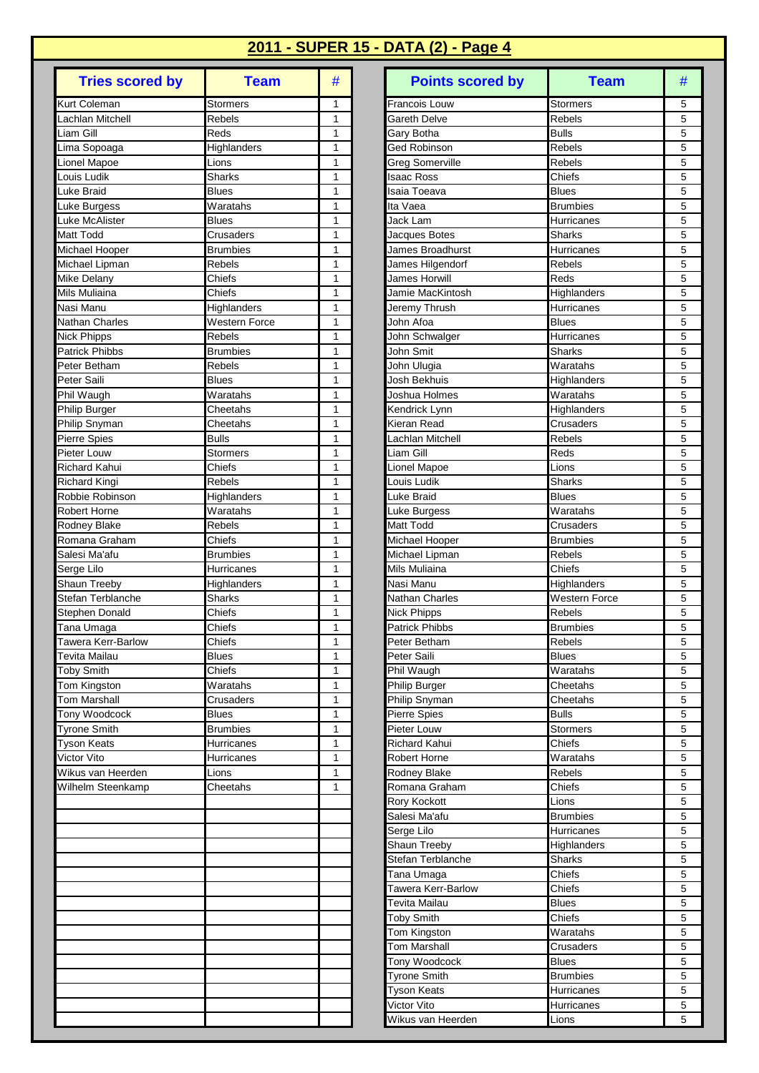| <b>Tries scored by</b>           | <b>Team</b>                   | #      |
|----------------------------------|-------------------------------|--------|
| Kurt Coleman                     | Stormers                      | 1      |
| Lachlan Mitchell                 | Rebels                        | 1      |
| Liam Gill                        | Reds                          | 1      |
| Lima Sopoaga                     | Highlanders                   | 1      |
| Lionel Mapoe                     | Lions                         | 1      |
| Louis Ludik                      | Sharks                        | 1      |
| Luke Braid                       | <b>Blues</b>                  | 1      |
| Luke Burgess                     | Waratahs                      | 1      |
| Luke McAlister                   | <b>Blues</b>                  | 1      |
| Matt Todd                        | Crusaders<br><b>Brumbies</b>  | 1<br>1 |
| Michael Hooper<br>Michael Lipman | Rebels                        | 1      |
| Mike Delany                      | Chiefs                        | 1      |
| Mils Muliaina                    | Chiefs                        | 1      |
| Nasi Manu                        | Highlanders                   | 1      |
| Nathan Charles                   | <b>Western Force</b>          | 1      |
| Nick Phipps                      | Rebels                        | 1      |
| Patrick Phibbs                   | <b>Brumbies</b>               | 1      |
| Peter Betham                     | Rebels                        | 1      |
| Peter Saili                      | Blues                         | 1      |
| Phil Waugh                       | Waratahs                      | 1      |
| Philip Burger                    | Cheetahs                      | 1      |
| Philip Snyman                    | Cheetahs                      | 1      |
| Pierre Spies                     | <b>Bulls</b>                  | 1      |
| Pieter Louw                      | Stormers                      | 1      |
| Richard Kahui                    | Chiefs                        | 1      |
| Richard Kingi                    | Rebels                        | 1      |
| Robbie Robinson                  | Highlanders                   | 1      |
| <b>Robert Horne</b>              | Waratahs                      | 1      |
| Rodney Blake                     | <b>Rebels</b>                 | 1      |
| Romana Graham                    | Chiefs                        | 1<br>1 |
| Salesi Ma'afu<br>Serge Lilo      | <b>Brumbies</b><br>Hurricanes | 1      |
| Shaun Treeby                     | Highlanders                   | 1      |
| Stefan Terblanche                | Sharks                        | 1      |
| Stephen Donald                   | Chiefs                        | 1      |
| Tana Umaga                       | Chiefs                        | 1      |
| Tawera Kerr-Barlow               | Chiefs                        | 1      |
| Tevita Mailau                    | <b>Blues</b>                  | 1      |
| <b>Toby Smith</b>                | Chiefs                        | 1      |
| Tom Kingston                     | Waratahs                      | 1      |
| Tom Marshall                     | Crusaders                     | 1      |
| Tony Woodcock                    | <b>Blues</b>                  | 1      |
| Tyrone Smith                     | <b>Brumbies</b>               | 1      |
| <b>Tyson Keats</b>               | Hurricanes                    | 1      |
| Victor Vito                      | Hurricanes                    | 1      |
| Wikus van Heerden                | Lions                         | 1      |
| Wilhelm Steenkamp                | Cheetahs                      | 1      |
|                                  |                               |        |
|                                  |                               |        |
|                                  |                               |        |
|                                  |                               |        |
|                                  |                               |        |
|                                  |                               |        |
|                                  |                               |        |
|                                  |                               |        |
|                                  |                               |        |
|                                  |                               |        |
|                                  |                               |        |
|                                  |                               |        |
|                                  |                               |        |
|                                  |                               |        |
|                                  |                               |        |

| <b>Tries scored by</b>             | <b>Team</b>                   | #            | <b>Points scored by</b>               | <b>Team</b>               | #           |
|------------------------------------|-------------------------------|--------------|---------------------------------------|---------------------------|-------------|
| Kurt Coleman                       | <b>Stormers</b>               | 1            | Francois Louw                         | <b>Stormers</b>           | 5           |
| Lachlan Mitchell                   | Rebels                        | 1            | Gareth Delve                          | <b>Rebels</b>             | 5           |
| Liam Gill                          | Reds                          | 1            | Gary Botha                            | <b>Bulls</b>              | 5           |
| Lima Sopoaga                       | Highlanders                   | 1            | Ged Robinson                          | Rebels                    | 5           |
| Lionel Mapoe                       | Lions                         | 1            | <b>Greg Somerville</b>                | Rebels                    | 5           |
| Louis Ludik                        | Sharks                        | 1            | Isaac Ross                            | Chiefs                    | 5           |
| Luke Braid                         | <b>Blues</b>                  | 1            | Isaia Toeava                          | <b>Blues</b>              | 5           |
| Luke Burgess                       | Waratahs                      | 1            | Ita Vaea                              | <b>Brumbies</b>           | 5           |
| <b>Luke McAlister</b><br>Matt Todd | <b>Blues</b>                  | 1            | Jack Lam                              | Hurricanes                | 5           |
| Michael Hooper                     | Crusaders<br><b>Brumbies</b>  | 1<br>1       | Jacques Botes<br>James Broadhurst     | Sharks<br>Hurricanes      | 5<br>5      |
| Michael Lipman                     | Rebels                        | 1            | James Hilgendorf                      | Rebels                    | 5           |
| Mike Delany                        | Chiefs                        | 1            | James Horwill                         | Reds                      | 5           |
| Mils Muliaina                      | Chiefs                        | 1            | Jamie MacKintosh                      | Highlanders               | 5           |
| Nasi Manu                          | Highlanders                   | 1            | Jeremy Thrush                         | Hurricanes                | 5           |
| Nathan Charles                     | <b>Western Force</b>          | 1            | John Afoa                             | <b>Blues</b>              | 5           |
| <b>Nick Phipps</b>                 | <b>Rebels</b>                 | 1            | John Schwalger                        | Hurricanes                | 5           |
| <b>Patrick Phibbs</b>              | <b>Brumbies</b>               | 1            | John Smit                             | Sharks                    | 5           |
| Peter Betham                       | Rebels                        | 1            | John Ulugia                           | Waratahs                  | 5           |
| Peter Saili                        | <b>Blues</b>                  | 1            | Josh Bekhuis                          | Highlanders               | 5           |
| Phil Waugh                         | Waratahs                      | 1            | Joshua Holmes                         | Waratahs                  | 5           |
| Philip Burger                      | Cheetahs                      | 1            | Kendrick Lynn                         | Highlanders               | 5           |
| Philip Snyman                      | Cheetahs                      | 1            | Kieran Read                           | Crusaders                 | 5           |
| Pierre Spies                       | <b>Bulls</b>                  | 1            | Lachlan Mitchell                      | <b>Rebels</b>             | 5           |
| Pieter Louw                        | <b>Stormers</b>               | 1            | Liam Gill                             | Reds                      | 5           |
| Richard Kahui                      | Chiefs                        | 1            | Lionel Mapoe                          | Lions                     | 5           |
| <b>Richard Kingi</b>               | <b>Rebels</b>                 | 1            | Louis Ludik                           | Sharks                    | 5           |
| Robbie Robinson                    | Highlanders                   | 1            | Luke Braid                            | <b>Blues</b>              | 5           |
| <b>Robert Horne</b>                | Waratahs                      | 1            | Luke Burgess                          | Waratahs                  | 5           |
| Rodney Blake                       | $\overline{\mathsf{Re}}$ bels | 1            | <b>Matt Todd</b>                      | Crusaders                 | 5           |
| Romana Graham                      | Chiefs                        | 1            | Michael Hooper                        | <b>Brumbies</b>           | 5           |
| Salesi Ma'afu                      | Brumbies                      | 1            | Michael Lipman                        | Rebels                    | 5           |
| Serge Lilo                         | Hurricanes                    | 1            | <b>Mils Muliaina</b>                  | Chiefs                    | 5           |
| Shaun Treeby                       | Highlanders                   | 1            | Nasi Manu                             | Highlanders               | 5           |
| Stefan Terblanche                  | <b>Sharks</b>                 | 1            | Nathan Charles                        | <b>Western Force</b>      | 5           |
| <b>Stephen Donald</b>              | Chiefs<br>Chiefs              | 1            | <b>Nick Phipps</b>                    | Rebels<br><b>Brumbies</b> | 5<br>5      |
| Tana Umaga<br>Tawera Kerr-Barlow   | Chiefs                        | 1<br>1       | <b>Patrick Phibbs</b><br>Peter Betham | Rebels                    | 5           |
| Tevita Mailau                      | <b>Blues</b>                  | $\mathbf{1}$ | Peter Saili                           | <b>Blues</b>              | 5           |
| <b>Toby Smith</b>                  | Chiefs                        | 1            | Phil Waugh                            | Waratahs                  | 5           |
| Tom Kingston                       | Waratahs                      | 1            | Philip Burger                         | Cheetahs                  | 5           |
| <b>Tom Marshall</b>                | Crusaders                     | 1            | Philip Snyman                         | Cheetahs                  | 5           |
| Tony Woodcock                      | Blues                         | 1            | Pierre Spies                          | <b>Bulls</b>              | 5           |
| Tyrone Smith                       | <b>Brumbies</b>               | 1            | Pieter Louw                           | <b>Stormers</b>           | 5           |
| <b>Tyson Keats</b>                 | Hurricanes                    | 1            | Richard Kahui                         | Chiefs                    | 5           |
| Victor Vito                        | Hurricanes                    | 1            | <b>Robert Horne</b>                   | Waratahs                  | 5           |
| Wikus van Heerden                  | Lions                         | 1            | Rodney Blake                          | Rebels                    | 5           |
| Wilhelm Steenkamp                  | Cheetahs                      | 1            | Romana Graham                         | Chiefs                    | 5           |
|                                    |                               |              | Rory Kockott                          | Lions                     | 5           |
|                                    |                               |              | Salesi Ma'afu                         | <b>Brumbies</b>           | $\mathbf 5$ |
|                                    |                               |              | Serge Lilo                            | Hurricanes                | 5           |
|                                    |                               |              | Shaun Treeby                          | Highlanders               | 5           |
|                                    |                               |              | Stefan Terblanche                     | Sharks                    | 5           |
|                                    |                               |              | Tana Umaga                            | Chiefs                    | 5           |
|                                    |                               |              | Tawera Kerr-Barlow                    | Chiefs                    | 5           |
|                                    |                               |              | <b>Tevita Mailau</b>                  | <b>Blues</b>              | 5           |
|                                    |                               |              | <b>Toby Smith</b>                     | Chiefs                    | 5           |
|                                    |                               |              | Tom Kingston                          | Waratahs                  | 5           |
|                                    |                               |              | <b>Tom Marshall</b>                   | Crusaders                 | 5           |
|                                    |                               |              | Tony Woodcock                         | <b>Blues</b>              | 5           |
|                                    |                               |              | Tyrone Smith                          | <b>Brumbies</b>           | 5           |
|                                    |                               |              | <b>Tyson Keats</b>                    | Hurricanes                | 5           |
|                                    |                               |              | Victor Vito                           | Hurricanes                | 5           |
|                                    |                               |              | Wikus van Heerden                     | Lions                     | 5           |